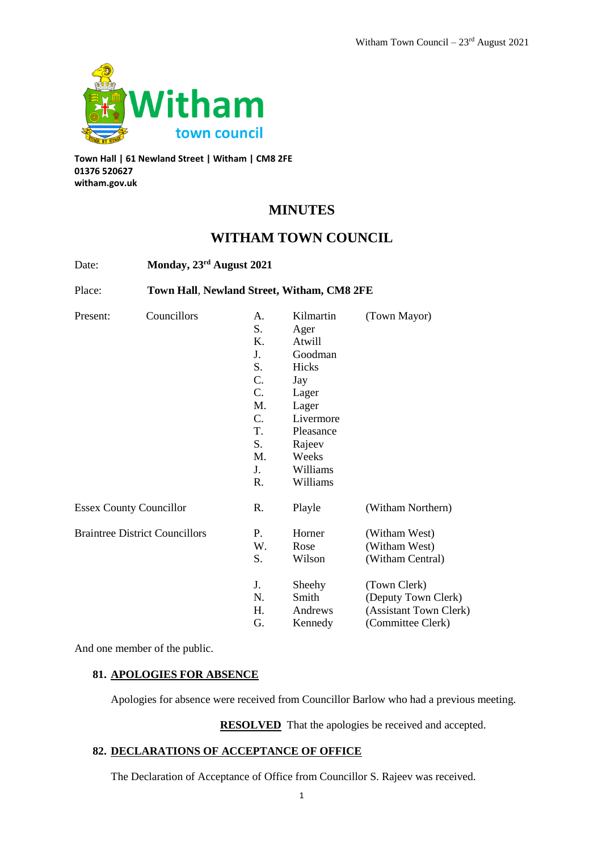

**Town Hall | 61 Newland Street | Witham | CM8 2FE 01376 520627 witham.gov.uk**

# **MINUTES**

# **WITHAM TOWN COUNCIL**

| Date:                                 |                                            | Monday, 23rd August 2021 |           |                        |  |
|---------------------------------------|--------------------------------------------|--------------------------|-----------|------------------------|--|
| Place:                                | Town Hall, Newland Street, Witham, CM8 2FE |                          |           |                        |  |
| Present:                              | Councillors                                | А.                       | Kilmartin | (Town Mayor)           |  |
|                                       |                                            | S.                       | Ager      |                        |  |
|                                       |                                            | Κ.                       | Atwill    |                        |  |
|                                       |                                            | J.                       | Goodman   |                        |  |
|                                       |                                            | S.                       | Hicks     |                        |  |
|                                       |                                            | C.                       | Jay       |                        |  |
|                                       |                                            | $C_{\cdot}$              | Lager     |                        |  |
|                                       |                                            | M.                       | Lager     |                        |  |
|                                       |                                            | $C_{\cdot}$              | Livermore |                        |  |
|                                       |                                            | T.                       | Pleasance |                        |  |
|                                       |                                            | S.                       | Rajeev    |                        |  |
|                                       |                                            | M.                       | Weeks     |                        |  |
|                                       |                                            | J.                       | Williams  |                        |  |
|                                       |                                            | R.                       | Williams  |                        |  |
| <b>Essex County Councillor</b>        |                                            | R.                       | Playle    | (Witham Northern)      |  |
| <b>Braintree District Councillors</b> |                                            | P.                       | Horner    | (Witham West)          |  |
|                                       |                                            | W.                       | Rose      | (Witham West)          |  |
|                                       |                                            | S.                       | Wilson    | (Witham Central)       |  |
|                                       |                                            | J.                       | Sheehy    | (Town Clerk)           |  |
|                                       |                                            | N.                       | Smith     | (Deputy Town Clerk)    |  |
|                                       |                                            | Н.                       | Andrews   | (Assistant Town Clerk) |  |
|                                       |                                            | G.                       | Kennedy   | (Committee Clerk)      |  |

And one member of the public.

# **81. APOLOGIES FOR ABSENCE**

Apologies for absence were received from Councillor Barlow who had a previous meeting.

**RESOLVED** That the apologies be received and accepted.

# **82. DECLARATIONS OF ACCEPTANCE OF OFFICE**

The Declaration of Acceptance of Office from Councillor S. Rajeev was received.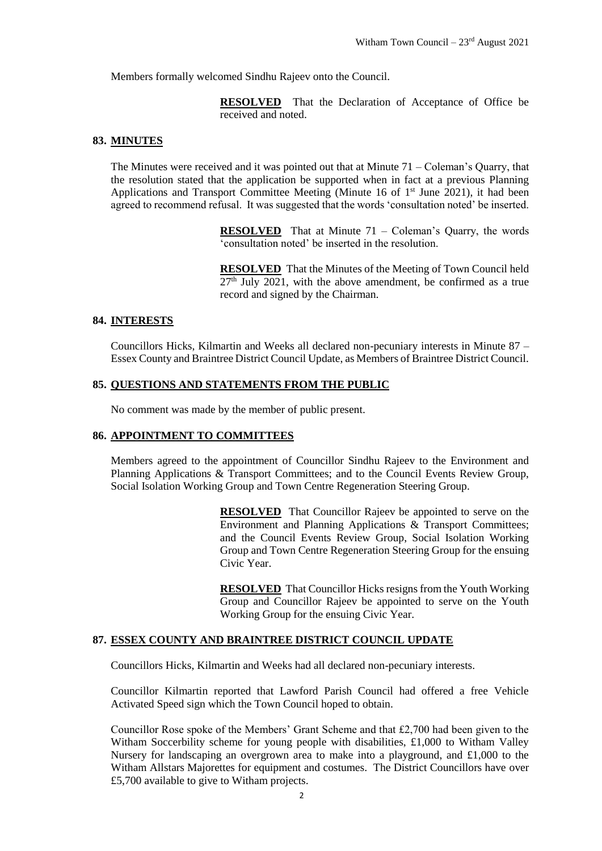Members formally welcomed Sindhu Rajeev onto the Council.

**RESOLVED** That the Declaration of Acceptance of Office be received and noted.

#### **83. MINUTES**

The Minutes were received and it was pointed out that at Minute  $71 -$ Coleman's Quarry, that the resolution stated that the application be supported when in fact at a previous Planning Applications and Transport Committee Meeting (Minute 16 of  $1<sup>st</sup>$  June 2021), it had been agreed to recommend refusal. It was suggested that the words 'consultation noted' be inserted.

> **RESOLVED** That at Minute 71 – Coleman's Quarry, the words 'consultation noted' be inserted in the resolution.

> **RESOLVED** That the Minutes of the Meeting of Town Council held  $27<sup>th</sup>$  July 2021, with the above amendment, be confirmed as a true record and signed by the Chairman.

#### **84. INTERESTS**

Councillors Hicks, Kilmartin and Weeks all declared non-pecuniary interests in Minute 87 – Essex County and Braintree District Council Update, as Members of Braintree District Council.

#### **85. QUESTIONS AND STATEMENTS FROM THE PUBLIC**

No comment was made by the member of public present.

#### **86. APPOINTMENT TO COMMITTEES**

Members agreed to the appointment of Councillor Sindhu Rajeev to the Environment and Planning Applications & Transport Committees; and to the Council Events Review Group, Social Isolation Working Group and Town Centre Regeneration Steering Group.

> **RESOLVED** That Councillor Rajeev be appointed to serve on the Environment and Planning Applications & Transport Committees; and the Council Events Review Group, Social Isolation Working Group and Town Centre Regeneration Steering Group for the ensuing Civic Year.

> **RESOLVED** That Councillor Hicks resigns from the Youth Working Group and Councillor Rajeev be appointed to serve on the Youth Working Group for the ensuing Civic Year.

#### **87. ESSEX COUNTY AND BRAINTREE DISTRICT COUNCIL UPDATE**

Councillors Hicks, Kilmartin and Weeks had all declared non-pecuniary interests.

Councillor Kilmartin reported that Lawford Parish Council had offered a free Vehicle Activated Speed sign which the Town Council hoped to obtain.

Councillor Rose spoke of the Members' Grant Scheme and that £2,700 had been given to the Witham Soccerbility scheme for young people with disabilities, £1,000 to Witham Valley Nursery for landscaping an overgrown area to make into a playground, and  $\text{\pounds}1,000$  to the Witham Allstars Majorettes for equipment and costumes. The District Councillors have over £5,700 available to give to Witham projects.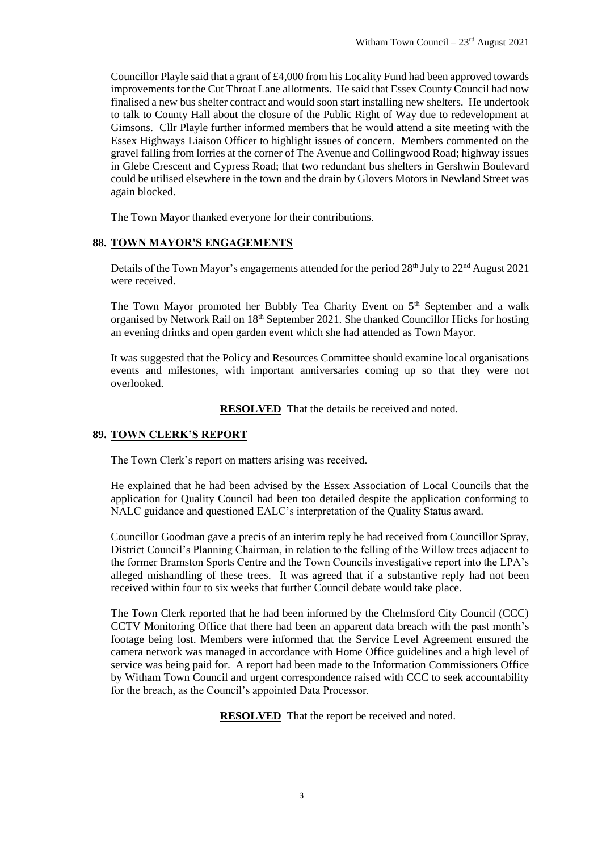Councillor Playle said that a grant of £4,000 from his Locality Fund had been approved towards improvements for the Cut Throat Lane allotments. He said that Essex County Council had now finalised a new bus shelter contract and would soon start installing new shelters. He undertook to talk to County Hall about the closure of the Public Right of Way due to redevelopment at Gimsons. Cllr Playle further informed members that he would attend a site meeting with the Essex Highways Liaison Officer to highlight issues of concern. Members commented on the gravel falling from lorries at the corner of The Avenue and Collingwood Road; highway issues in Glebe Crescent and Cypress Road; that two redundant bus shelters in Gershwin Boulevard could be utilised elsewhere in the town and the drain by Glovers Motors in Newland Street was again blocked.

The Town Mayor thanked everyone for their contributions.

# **88. TOWN MAYOR'S ENGAGEMENTS**

Details of the Town Mayor's engagements attended for the period 28<sup>th</sup> July to 22<sup>nd</sup> August 2021 were received.

The Town Mayor promoted her Bubbly Tea Charity Event on 5<sup>th</sup> September and a walk organised by Network Rail on 18th September 2021. She thanked Councillor Hicks for hosting an evening drinks and open garden event which she had attended as Town Mayor.

It was suggested that the Policy and Resources Committee should examine local organisations events and milestones, with important anniversaries coming up so that they were not overlooked.

**RESOLVED** That the details be received and noted.

# **89. TOWN CLERK'S REPORT**

The Town Clerk's report on matters arising was received.

He explained that he had been advised by the Essex Association of Local Councils that the application for Quality Council had been too detailed despite the application conforming to NALC guidance and questioned EALC's interpretation of the Quality Status award.

Councillor Goodman gave a precis of an interim reply he had received from Councillor Spray, District Council's Planning Chairman, in relation to the felling of the Willow trees adjacent to the former Bramston Sports Centre and the Town Councils investigative report into the LPA's alleged mishandling of these trees. It was agreed that if a substantive reply had not been received within four to six weeks that further Council debate would take place.

The Town Clerk reported that he had been informed by the Chelmsford City Council (CCC) CCTV Monitoring Office that there had been an apparent data breach with the past month's footage being lost. Members were informed that the Service Level Agreement ensured the camera network was managed in accordance with Home Office guidelines and a high level of service was being paid for. A report had been made to the Information Commissioners Office by Witham Town Council and urgent correspondence raised with CCC to seek accountability for the breach, as the Council's appointed Data Processor.

**RESOLVED** That the report be received and noted.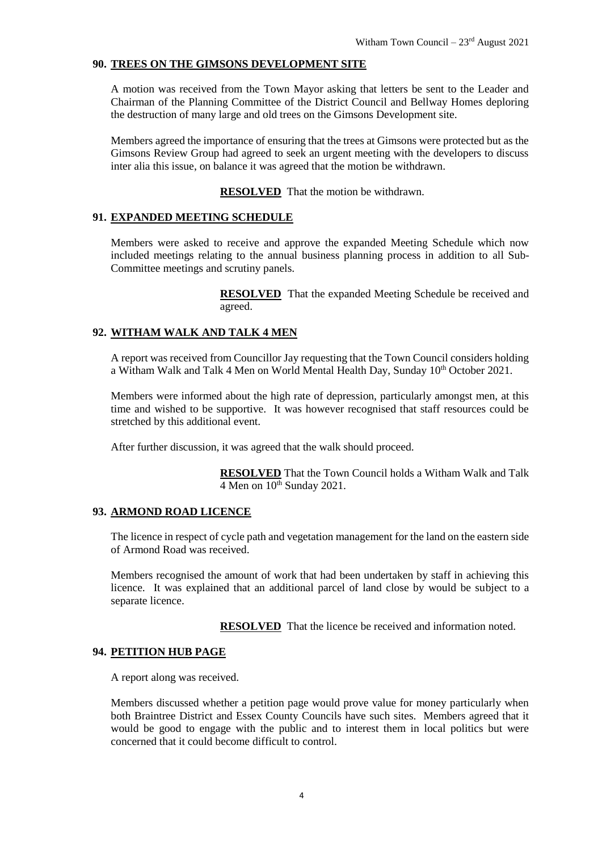## **90. TREES ON THE GIMSONS DEVELOPMENT SITE**

A motion was received from the Town Mayor asking that letters be sent to the Leader and Chairman of the Planning Committee of the District Council and Bellway Homes deploring the destruction of many large and old trees on the Gimsons Development site.

Members agreed the importance of ensuring that the trees at Gimsons were protected but as the Gimsons Review Group had agreed to seek an urgent meeting with the developers to discuss inter alia this issue, on balance it was agreed that the motion be withdrawn.

**RESOLVED** That the motion be withdrawn.

## **91. EXPANDED MEETING SCHEDULE**

Members were asked to receive and approve the expanded Meeting Schedule which now included meetings relating to the annual business planning process in addition to all Sub-Committee meetings and scrutiny panels.

> **RESOLVED** That the expanded Meeting Schedule be received and agreed.

# **92. WITHAM WALK AND TALK 4 MEN**

A report was received from Councillor Jay requesting that the Town Council considers holding a Witham Walk and Talk 4 Men on World Mental Health Day, Sunday 10<sup>th</sup> October 2021.

Members were informed about the high rate of depression, particularly amongst men, at this time and wished to be supportive. It was however recognised that staff resources could be stretched by this additional event.

After further discussion, it was agreed that the walk should proceed.

**RESOLVED** That the Town Council holds a Witham Walk and Talk  $4$  Men on  $10^{th}$  Sunday 2021.

## **93. ARMOND ROAD LICENCE**

The licence in respect of cycle path and vegetation management for the land on the eastern side of Armond Road was received.

Members recognised the amount of work that had been undertaken by staff in achieving this licence. It was explained that an additional parcel of land close by would be subject to a separate licence.

**RESOLVED** That the licence be received and information noted.

## **94. PETITION HUB PAGE**

A report along was received.

Members discussed whether a petition page would prove value for money particularly when both Braintree District and Essex County Councils have such sites. Members agreed that it would be good to engage with the public and to interest them in local politics but were concerned that it could become difficult to control.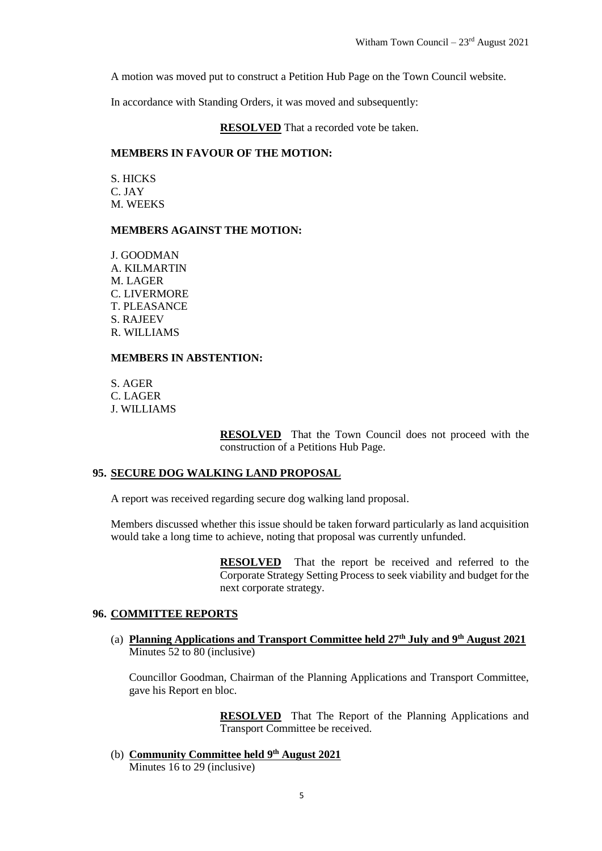A motion was moved put to construct a Petition Hub Page on the Town Council website.

In accordance with Standing Orders, it was moved and subsequently:

## **RESOLVED** That a recorded vote be taken.

#### **MEMBERS IN FAVOUR OF THE MOTION:**

S. HICKS C. JAY M. WEEKS

#### **MEMBERS AGAINST THE MOTION:**

J. GOODMAN A. KILMARTIN M. LAGER C. LIVERMORE T. PLEASANCE S. RAJEEV R. WILLIAMS

#### **MEMBERS IN ABSTENTION:**

S. AGER C. LAGER J. WILLIAMS

> **RESOLVED** That the Town Council does not proceed with the construction of a Petitions Hub Page.

## **95. SECURE DOG WALKING LAND PROPOSAL**

A report was received regarding secure dog walking land proposal.

Members discussed whether this issue should be taken forward particularly as land acquisition would take a long time to achieve, noting that proposal was currently unfunded.

> **RESOLVED** That the report be received and referred to the Corporate Strategy Setting Process to seek viability and budget for the next corporate strategy.

## **96. COMMITTEE REPORTS**

(a) **Planning Applications and Transport Committee held 27th July and 9th August 2021** Minutes 52 to 80 (inclusive)

Councillor Goodman, Chairman of the Planning Applications and Transport Committee, gave his Report en bloc.

> **RESOLVED** That The Report of the Planning Applications and Transport Committee be received.

(b) **Community Committee held 9 th August 2021** Minutes 16 to 29 (inclusive)